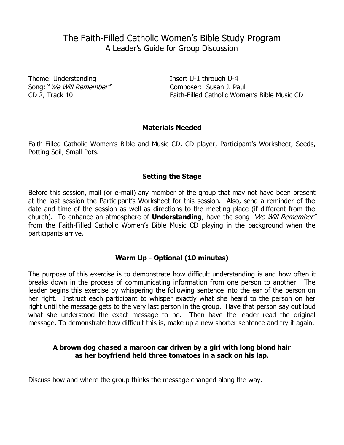# The Faith-Filled Catholic Women's Bible Study Program A Leader's Guide for Group Discussion

Theme: Understanding Insert U-1 through U-4 Song: "*We Will Remember"* Composer: Susan J. Paul

CD 2, Track 10 Faith-Filled Catholic Women's Bible Music CD

# **Materials Needed**

Faith-Filled Catholic Women's Bible and Music CD, CD player, Participant's Worksheet, Seeds, Potting Soil, Small Pots.

# **Setting the Stage**

Before this session, mail (or e-mail) any member of the group that may not have been present at the last session the Participant's Worksheet for this session. Also, send a reminder of the date and time of the session as well as directions to the meeting place (if different from the church). To enhance an atmosphere of **Understanding**, have the song "We Will Remember" from the Faith-Filled Catholic Women's Bible Music CD playing in the background when the participants arrive.

# **Warm Up - Optional (10 minutes)**

The purpose of this exercise is to demonstrate how difficult understanding is and how often it breaks down in the process of communicating information from one person to another. The leader begins this exercise by whispering the following sentence into the ear of the person on her right. Instruct each participant to whisper exactly what she heard to the person on her right until the message gets to the very last person in the group. Have that person say out loud what she understood the exact message to be. Then have the leader read the original message. To demonstrate how difficult this is, make up a new shorter sentence and try it again.

# **A brown dog chased a maroon car driven by a girl with long blond hair as her boyfriend held three tomatoes in a sack on his lap.**

Discuss how and where the group thinks the message changed along the way.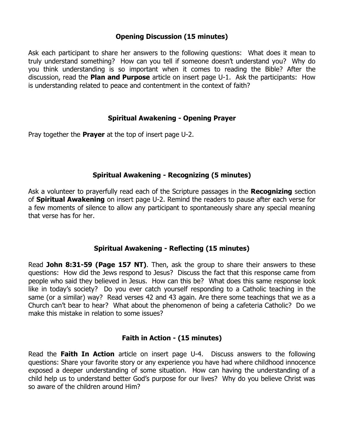# **Opening Discussion (15 minutes)**

Ask each participant to share her answers to the following questions: What does it mean to truly understand something? How can you tell if someone doesn't understand you? Why do you think understanding is so important when it comes to reading the Bible? After the discussion, read the **Plan and Purpose** article on insert page U-1. Ask the participants: How is understanding related to peace and contentment in the context of faith?

# **Spiritual Awakening - Opening Prayer**

Pray together the **Prayer** at the top of insert page U-2.

#### **Spiritual Awakening - Recognizing (5 minutes)**

Ask a volunteer to prayerfully read each of the Scripture passages in the **Recognizing** section of **Spiritual Awakening** on insert page U-2. Remind the readers to pause after each verse for a few moments of silence to allow any participant to spontaneously share any special meaning that verse has for her.

# **Spiritual Awakening - Reflecting (15 minutes)**

Read **John 8:31-59 (Page 157 NT)**. Then, ask the group to share their answers to these questions: How did the Jews respond to Jesus? Discuss the fact that this response came from people who said they believed in Jesus. How can this be? What does this same response look like in today's society? Do you ever catch yourself responding to a Catholic teaching in the same (or a similar) way? Read verses 42 and 43 again. Are there some teachings that we as a Church can't bear to hear? What about the phenomenon of being a cafeteria Catholic? Do we make this mistake in relation to some issues?

#### **Faith in Action - (15 minutes)**

Read the **Faith In Action** article on insert page U-4. Discuss answers to the following questions: Share your favorite story or any experience you have had where childhood innocence exposed a deeper understanding of some situation. How can having the understanding of a child help us to understand better God's purpose for our lives? Why do you believe Christ was so aware of the children around Him?